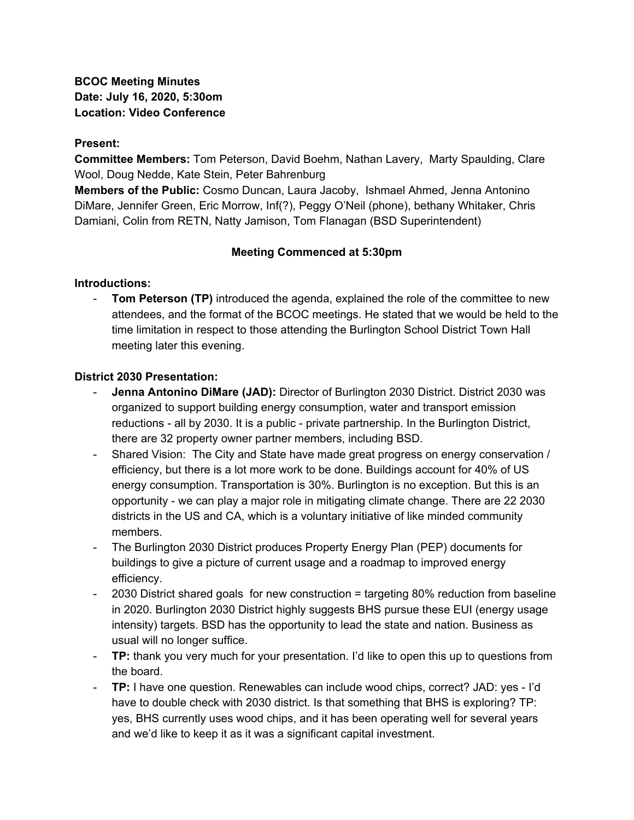**BCOC Meeting Minutes Date: July 16, 2020, 5:30om Location: Video Conference**

#### **Present:**

**Committee Members:** Tom Peterson, David Boehm, Nathan Lavery, Marty Spaulding, Clare Wool, Doug Nedde, Kate Stein, Peter Bahrenburg

**Members of the Public:** Cosmo Duncan, Laura Jacoby, Ishmael Ahmed, Jenna Antonino DiMare, Jennifer Green, Eric Morrow, Inf(?), Peggy O'Neil (phone), bethany Whitaker, Chris Damiani, Colin from RETN, Natty Jamison, Tom Flanagan (BSD Superintendent)

### **Meeting Commenced at 5:30pm**

### **Introductions:**

- **Tom Peterson (TP)** introduced the agenda, explained the role of the committee to new attendees, and the format of the BCOC meetings. He stated that we would be held to the time limitation in respect to those attending the Burlington School District Town Hall meeting later this evening.

### **District 2030 Presentation:**

- **Jenna Antonino DiMare (JAD):** Director of Burlington 2030 District. District 2030 was organized to support building energy consumption, water and transport emission reductions - all by 2030. It is a public - private partnership. In the Burlington District, there are 32 property owner partner members, including BSD.
- Shared Vision: The City and State have made great progress on energy conservation / efficiency, but there is a lot more work to be done. Buildings account for 40% of US energy consumption. Transportation is 30%. Burlington is no exception. But this is an opportunity - we can play a major role in mitigating climate change. There are 22 2030 districts in the US and CA, which is a voluntary initiative of like minded community members.
- The Burlington 2030 District produces Property Energy Plan (PEP) documents for buildings to give a picture of current usage and a roadmap to improved energy efficiency.
- 2030 District shared goals for new construction = targeting 80% reduction from baseline in 2020. Burlington 2030 District highly suggests BHS pursue these EUI (energy usage intensity) targets. BSD has the opportunity to lead the state and nation. Business as usual will no longer suffice.
- **TP:** thank you very much for your presentation. I'd like to open this up to questions from the board.
- **TP:** I have one question. Renewables can include wood chips, correct? JAD: yes I'd have to double check with 2030 district. Is that something that BHS is exploring? TP: yes, BHS currently uses wood chips, and it has been operating well for several years and we'd like to keep it as it was a significant capital investment.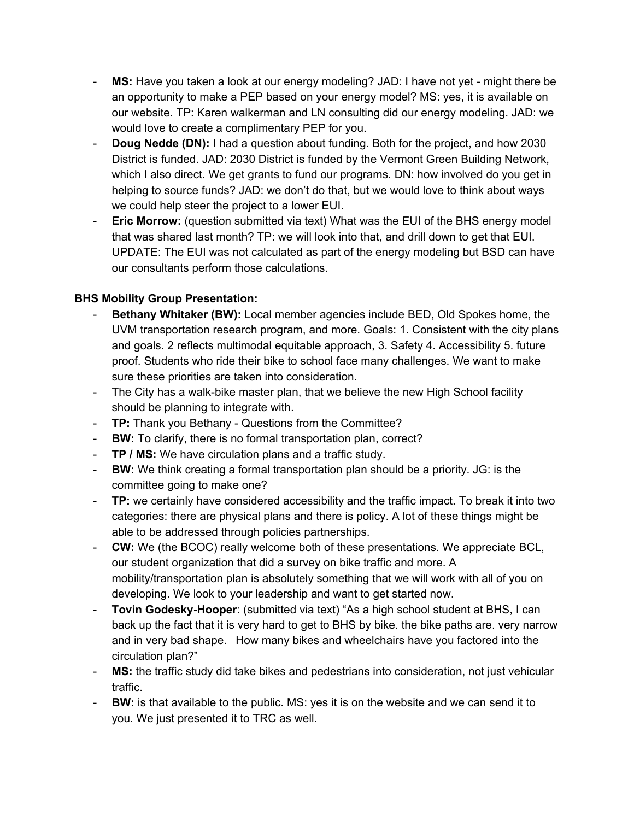- **MS:** Have you taken a look at our energy modeling? JAD: I have not yet might there be an opportunity to make a PEP based on your energy model? MS: yes, it is available on our website. TP: Karen walkerman and LN consulting did our energy modeling. JAD: we would love to create a complimentary PEP for you.
- **Doug Nedde (DN):** I had a question about funding. Both for the project, and how 2030 District is funded. JAD: 2030 District is funded by the Vermont Green Building Network, which I also direct. We get grants to fund our programs. DN: how involved do you get in helping to source funds? JAD: we don't do that, but we would love to think about ways we could help steer the project to a lower EUI.
- **Eric Morrow:** (question submitted via text) What was the EUI of the BHS energy model that was shared last month? TP: we will look into that, and drill down to get that EUI. UPDATE: The EUI was not calculated as part of the energy modeling but BSD can have our consultants perform those calculations.

# **BHS Mobility Group Presentation:**

- **Bethany Whitaker (BW):** Local member agencies include BED, Old Spokes home, the UVM transportation research program, and more. Goals: 1. Consistent with the city plans and goals. 2 reflects multimodal equitable approach, 3. Safety 4. Accessibility 5. future proof. Students who ride their bike to school face many challenges. We want to make sure these priorities are taken into consideration.
- The City has a walk-bike master plan, that we believe the new High School facility should be planning to integrate with.
- **TP:** Thank you Bethany Questions from the Committee?
- **BW:** To clarify, there is no formal transportation plan, correct?
- **TP / MS:** We have circulation plans and a traffic study.
- **BW:** We think creating a formal transportation plan should be a priority. JG: is the committee going to make one?
- **TP:** we certainly have considered accessibility and the traffic impact. To break it into two categories: there are physical plans and there is policy. A lot of these things might be able to be addressed through policies partnerships.
- **CW:** We (the BCOC) really welcome both of these presentations. We appreciate BCL, our student organization that did a survey on bike traffic and more. A mobility/transportation plan is absolutely something that we will work with all of you on developing. We look to your leadership and want to get started now.
- **Tovin Godesky-Hooper**: (submitted via text) "As a high school student at BHS, I can back up the fact that it is very hard to get to BHS by bike. the bike paths are. very narrow and in very bad shape. How many bikes and wheelchairs have you factored into the circulation plan?"
- **MS:** the traffic study did take bikes and pedestrians into consideration, not just vehicular traffic.
- **BW:** is that available to the public. MS: yes it is on the website and we can send it to you. We just presented it to TRC as well.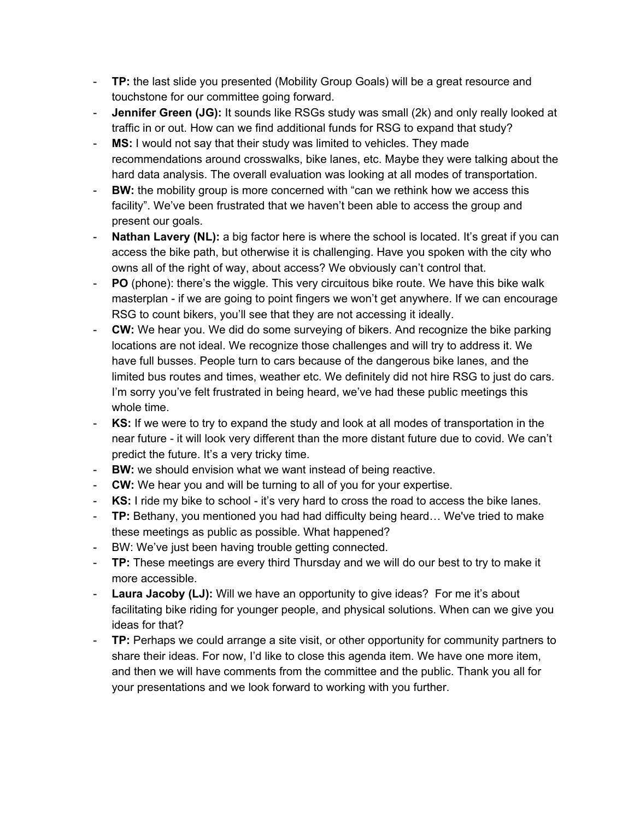- **TP:** the last slide you presented (Mobility Group Goals) will be a great resource and touchstone for our committee going forward.
- **Jennifer Green (JG):** It sounds like RSGs study was small (2k) and only really looked at traffic in or out. How can we find additional funds for RSG to expand that study?
- **MS:** I would not say that their study was limited to vehicles. They made recommendations around crosswalks, bike lanes, etc. Maybe they were talking about the hard data analysis. The overall evaluation was looking at all modes of transportation.
- **BW:** the mobility group is more concerned with "can we rethink how we access this facility". We've been frustrated that we haven't been able to access the group and present our goals.
- **Nathan Lavery (NL):** a big factor here is where the school is located. It's great if you can access the bike path, but otherwise it is challenging. Have you spoken with the city who owns all of the right of way, about access? We obviously can't control that.
- **PO** (phone): there's the wiggle. This very circuitous bike route. We have this bike walk masterplan - if we are going to point fingers we won't get anywhere. If we can encourage RSG to count bikers, you'll see that they are not accessing it ideally.
- **CW:** We hear you. We did do some surveying of bikers. And recognize the bike parking locations are not ideal. We recognize those challenges and will try to address it. We have full busses. People turn to cars because of the dangerous bike lanes, and the limited bus routes and times, weather etc. We definitely did not hire RSG to just do cars. I'm sorry you've felt frustrated in being heard, we've had these public meetings this whole time.
- **KS:** If we were to try to expand the study and look at all modes of transportation in the near future - it will look very different than the more distant future due to covid. We can't predict the future. It's a very tricky time.
- **BW:** we should envision what we want instead of being reactive.
- **CW:** We hear you and will be turning to all of you for your expertise.
- **KS:** I ride my bike to school it's very hard to cross the road to access the bike lanes.
- **TP:** Bethany, you mentioned you had had difficulty being heard… We've tried to make these meetings as public as possible. What happened?
- BW: We've just been having trouble getting connected.
- **TP:** These meetings are every third Thursday and we will do our best to try to make it more accessible.
- **Laura Jacoby (LJ):** Will we have an opportunity to give ideas? For me it's about facilitating bike riding for younger people, and physical solutions. When can we give you ideas for that?
- **TP:** Perhaps we could arrange a site visit, or other opportunity for community partners to share their ideas. For now, I'd like to close this agenda item. We have one more item, and then we will have comments from the committee and the public. Thank you all for your presentations and we look forward to working with you further.